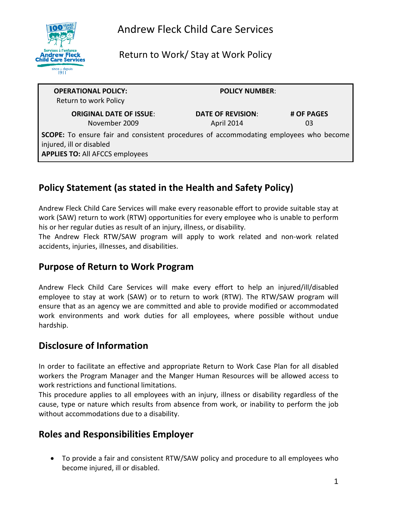

Return to Work/ Stay at Work Policy

| <b>OPERATIONAL POLICY:</b><br>Return to work Policy                                                                                                                | <b>POLICY NUMBER:</b>                  |                  |
|--------------------------------------------------------------------------------------------------------------------------------------------------------------------|----------------------------------------|------------------|
| <b>ORIGINAL DATE OF ISSUE:</b><br>November 2009                                                                                                                    | <b>DATE OF REVISION:</b><br>April 2014 | # OF PAGES<br>03 |
| <b>SCOPE:</b> To ensure fair and consistent procedures of accommodating employees who become<br>injured, ill or disabled<br><b>APPLIES TO: All AFCCS employees</b> |                                        |                  |

# **Policy Statement (as stated in the Health and Safety Policy)**

Andrew Fleck Child Care Services will make every reasonable effort to provide suitable stay at work (SAW) return to work (RTW) opportunities for every employee who is unable to perform his or her regular duties as result of an injury, illness, or disability.

The Andrew Fleck RTW/SAW program will apply to work related and non-work related accidents, injuries, illnesses, and disabilities.

### **Purpose of Return to Work Program**

Andrew Fleck Child Care Services will make every effort to help an injured/ill/disabled employee to stay at work (SAW) or to return to work (RTW). The RTW/SAW program will ensure that as an agency we are committed and able to provide modified or accommodated work environments and work duties for all employees, where possible without undue hardship.

# **Disclosure of Information**

In order to facilitate an effective and appropriate Return to Work Case Plan for all disabled workers the Program Manager and the Manger Human Resources will be allowed access to work restrictions and functional limitations.

This procedure applies to all employees with an injury, illness or disability regardless of the cause, type or nature which results from absence from work, or inability to perform the job without accommodations due to a disability.

# **Roles and Responsibilities Employer**

• To provide a fair and consistent RTW/SAW policy and procedure to all employees who become injured, ill or disabled.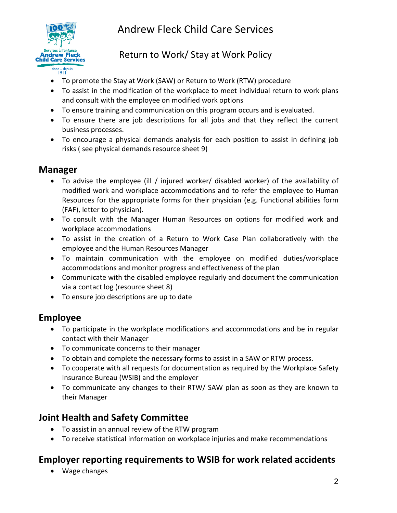

Andrew Fleck Child Care Services

## Return to Work/ Stay at Work Policy

- To promote the Stay at Work (SAW) or Return to Work (RTW) procedure
- To assist in the modification of the workplace to meet individual return to work plans and consult with the employee on modified work options
- To ensure training and communication on this program occurs and is evaluated.
- To ensure there are job descriptions for all jobs and that they reflect the current business processes.
- To encourage a physical demands analysis for each position to assist in defining job risks ( see physical demands resource sheet 9)

#### **Manager**

- To advise the employee (ill / injured worker/ disabled worker) of the availability of modified work and workplace accommodations and to refer the employee to Human Resources for the appropriate forms for their physician (e.g. Functional abilities form (FAF), letter to physician).
- To consult with the Manager Human Resources on options for modified work and workplace accommodations
- To assist in the creation of a Return to Work Case Plan collaboratively with the employee and the Human Resources Manager
- To maintain communication with the employee on modified duties/workplace accommodations and monitor progress and effectiveness of the plan
- Communicate with the disabled employee regularly and document the communication via a contact log (resource sheet 8)
- To ensure job descriptions are up to date

### **Employee**

- To participate in the workplace modifications and accommodations and be in regular contact with their Manager
- To communicate concerns to their manager
- To obtain and complete the necessary forms to assist in a SAW or RTW process.
- To cooperate with all requests for documentation as required by the Workplace Safety Insurance Bureau (WSIB) and the employer
- To communicate any changes to their RTW/ SAW plan as soon as they are known to their Manager

#### **Joint Health and Safety Committee**

- To assist in an annual review of the RTW program
- To receive statistical information on workplace injuries and make recommendations

# **Employer reporting requirements to WSIB for work related accidents**

• Wage changes